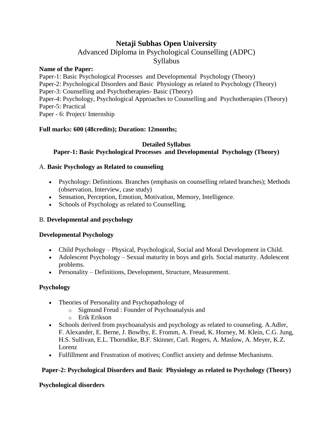# **Netaji Subhas Open University**

# Advanced Diploma in Psychological Counselling (ADPC)

# Syllabus

#### **Name of the Paper:**

Paper-1: Basic Psychological Processes and Developmental Psychology (Theory) Paper-2: Psychological Disorders and Basic Physiology as related to Psychology (Theory) Paper-3: Counselling and Psychotherapies- Basic (Theory) Paper-4: Psychology, Psychological Approaches to Counselling and Psychotherapies (Theory) Paper-5: Practical Paper - 6: Project/ Internship

## **Full marks: 600 (48credits); Duration: 12months;**

#### **Detailed Syllabus**

# **Paper-1: Basic Psychological Processes and Developmental Psychology (Theory)**

## A. **Basic Psychology as Related to counseling**

- Psychology: Definitions. Branches (emphasis on counselling related branches); Methods (observation, Interview, case study)
- Sensation, Perception, Emotion, Motivation, Memory, Intelligence.
- Schools of Psychology as related to Counselling.

## B. **Developmental and psychology**

## **Developmental Psychology**

- Child Psychology Physical, Psychological, Social and Moral Development in Child.
- Adolescent Psychology Sexual maturity in boys and girls. Social maturity. Adolescent problems.
- Personality Definitions, Development, Structure, Measurement.

## **Psychology**

- Theories of Personality and Psychopathology of
	- o Sigmund Freud : Founder of Psychoanalysis and
	- o Erik Erikson
- Schools derived from psychoanalysis and psychology as related to counseling. A.Adler, F. Alexander, E. Berne, J. Bowlby, E. Fromm, A. Freud, K. Horney, M. Klein, C.G. Jung, H.S. Sullivan, E.L. Thorndike, B.F. Skinner, Carl. Rogers, A. Maslow, A. Meyer, K.Z. Lorenz
- Fulfillment and Frustration of motives; Conflict anxiety and defense Mechanisms.

# **Paper-2: Psychological Disorders and Basic Physiology as related to Psychology (Theory)**

## **Psychological disorders**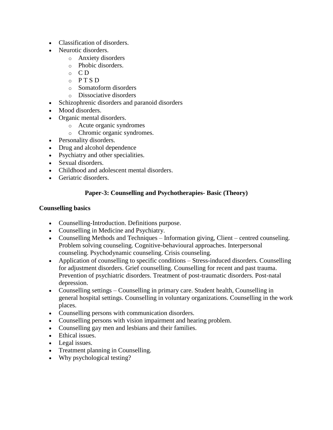- Classification of disorders.
- Neurotic disorders.
	- o Anxiety disorders
	- o Phobic disorders.
	- $\circ$  CD
	- $O<sub>Q</sub>$  P T S D
	- o Somatoform disorders
	- o Dissociative disorders
- Schizophrenic disorders and paranoid disorders
- Mood disorders.
- Organic mental disorders.
	- o Acute organic syndromes
	- o Chromic organic syndromes.
- Personality disorders.
- Drug and alcohol dependence
- Psychiatry and other specialities.
- Sexual disorders.
- Childhood and adolescent mental disorders.
- Geriatric disorders.

## **Paper-3: Counselling and Psychotherapies- Basic (Theory)**

#### **Counselling basics**

- Counselling-Introduction. Definitions purpose.
- Counselling in Medicine and Psychiatry.
- Counselling Methods and Techniques Information giving, Client centred counseling. Problem solving counseling. Cognitive-behavioural approaches. Interpersonal counseling. Psychodynamic counseling. Crisis counseling.
- Application of counselling to specific conditions Stress-induced disorders. Counselling for adjustment disorders. Grief counselling. Counselling for recent and past trauma. Prevention of psychiatric disorders. Treatment of post-traumatic disorders. Post-natal depression.
- Counselling settings Counselling in primary care. Student health, Counselling in general hospital settings. Counselling in voluntary organizations. Counselling in the work places.
- Counselling persons with communication disorders.
- Counselling persons with vision impairment and hearing problem.
- Counselling gay men and lesbians and their families.
- Ethical issues.
- Legal issues.
- Treatment planning in Counselling.
- Why psychological testing?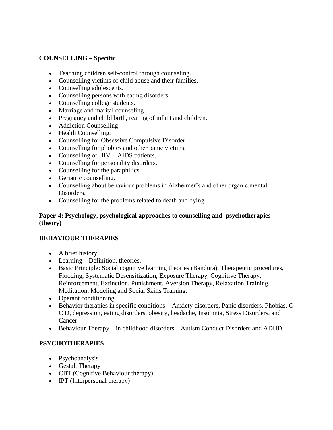#### **COUNSELLING – Specific**

- Teaching children self-control through counseling.
- Counselling victims of child abuse and their families.
- Counselling adolescents.
- Counselling persons with eating disorders.
- Counselling college students.
- Marriage and marital counseling
- Pregnancy and child birth, rearing of infant and children.
- Addiction Counselling
- Health Counselling.
- Counselling for Obsessive Compulsive Disorder.
- Counselling for phobics and other panic victims.
- Counselling of  $HIV + AIDS$  patients.
- Counselling for personality disorders.
- Counselling for the paraphilics.
- Geriatric counselling.
- Counselling about behaviour problems in Alzheimer's and other organic mental Disorders.
- Counselling for the problems related to death and dying.

#### **Paper-4: Psychology, psychological approaches to counselling and psychotherapies (theory)**

#### **BEHAVIOUR THERAPIES**

- A brief history
- Learning Definition, theories.
- Basic Principle: Social cognitive learning theories (Bandura), Therapeutic procedures, Flooding, Systematic Desensitization, Exposure Therapy, Cognitive Therapy, Reinforcement, Extinction, Punishment, Aversion Therapy, Relaxation Training, Meditation, Modeling and Social Skills Training.
- Operant conditioning.
- Behavior therapies in specific conditions Anxiety disorders, Panic disorders, Phobias, O C D, depression, eating disorders, obesity, headache, Insomnia, Stress Disorders, and Cancer.
- Behaviour Therapy in childhood disorders Autism Conduct Disorders and ADHD.

## **PSYCHOTHERAPIES**

- Psychoanalysis
- Gestalt Therapy
- CBT (Cognitive Behaviour therapy)
- IPT (Interpersonal therapy)